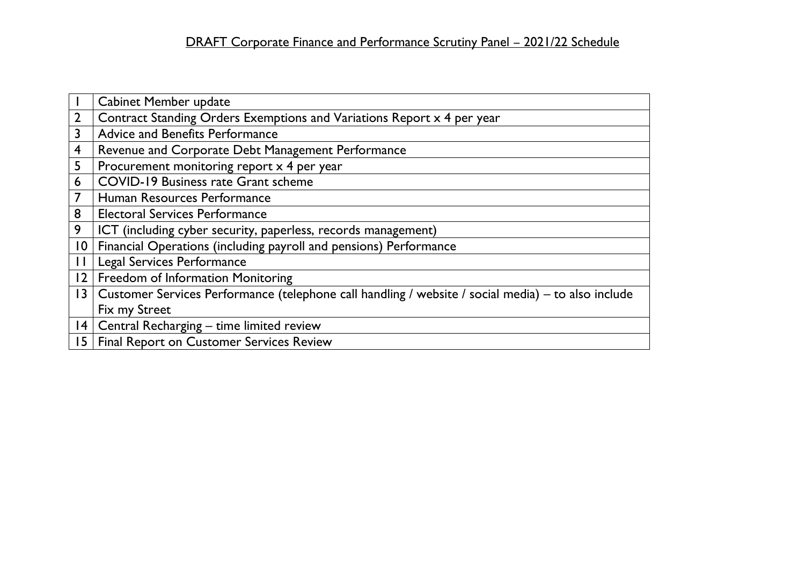|                         | <b>Cabinet Member update</b>                                                                       |
|-------------------------|----------------------------------------------------------------------------------------------------|
| $\overline{2}$          | Contract Standing Orders Exemptions and Variations Report x 4 per year                             |
| 3                       | Advice and Benefits Performance                                                                    |
| $\overline{\mathbf{4}}$ | Revenue and Corporate Debt Management Performance                                                  |
| 5                       | Procurement monitoring report x 4 per year                                                         |
| 6                       | <b>COVID-19 Business rate Grant scheme</b>                                                         |
|                         | Human Resources Performance                                                                        |
| 8                       | <b>Electoral Services Performance</b>                                                              |
| 9                       | ICT (including cyber security, paperless, records management)                                      |
| $\overline{10}$         | Financial Operations (including payroll and pensions) Performance                                  |
|                         | Legal Services Performance                                                                         |
| 2                       | Freedom of Information Monitoring                                                                  |
| 3                       | Customer Services Performance (telephone call handling / website / social media) – to also include |
|                         | Fix my Street                                                                                      |
|                         | 14   Central Recharging – time limited review                                                      |
|                         | 15   Final Report on Customer Services Review                                                      |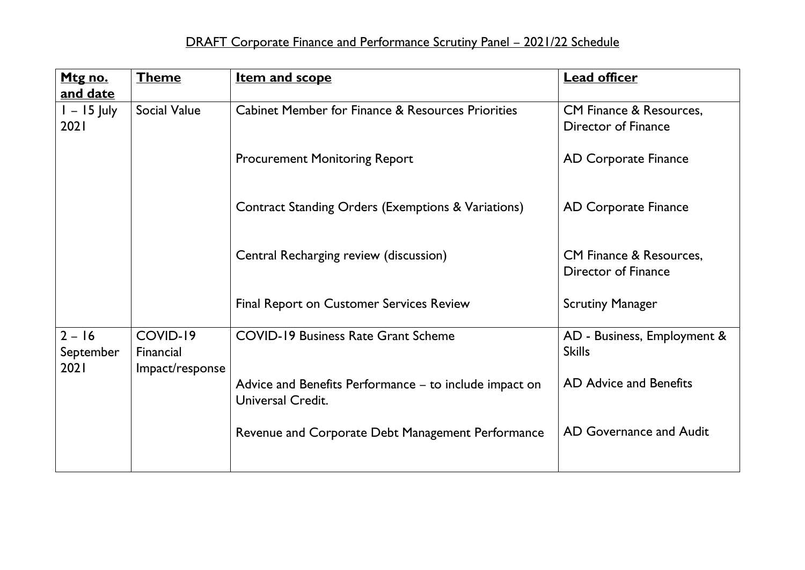| <b>Theme</b>          | <b>Item and scope</b>                                                       | <b>Lead officer</b>                                       |
|-----------------------|-----------------------------------------------------------------------------|-----------------------------------------------------------|
|                       |                                                                             |                                                           |
| <b>Social Value</b>   | Cabinet Member for Finance & Resources Priorities                           | CM Finance & Resources,                                   |
|                       |                                                                             | Director of Finance                                       |
|                       | <b>Procurement Monitoring Report</b>                                        | <b>AD Corporate Finance</b>                               |
|                       | Contract Standing Orders (Exemptions & Variations)                          | <b>AD Corporate Finance</b>                               |
|                       | Central Recharging review (discussion)                                      | <b>CM Finance &amp; Resources,</b><br>Director of Finance |
|                       | <b>Final Report on Customer Services Review</b>                             | <b>Scrutiny Manager</b>                                   |
| COVID-19<br>Financial | <b>COVID-19 Business Rate Grant Scheme</b>                                  | AD - Business, Employment &<br><b>Skills</b>              |
| Impact/response       | Advice and Benefits Performance - to include impact on<br>Universal Credit. | AD Advice and Benefits                                    |
|                       | Revenue and Corporate Debt Management Performance                           | AD Governance and Audit                                   |
|                       |                                                                             |                                                           |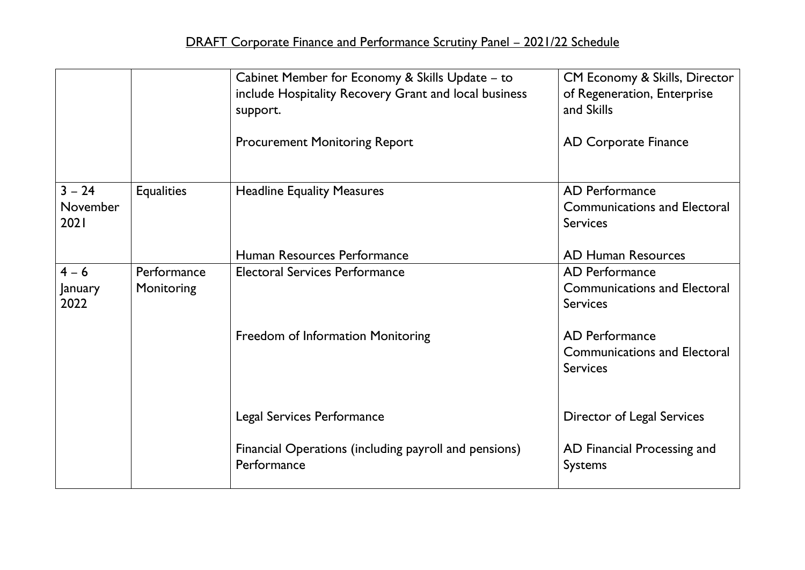|                              |                           | Cabinet Member for Economy & Skills Update - to<br>include Hospitality Recovery Grant and local business<br>support.<br><b>Procurement Monitoring Report</b> | CM Economy & Skills, Director<br>of Regeneration, Enterprise<br>and Skills<br><b>AD Corporate Finance</b> |
|------------------------------|---------------------------|--------------------------------------------------------------------------------------------------------------------------------------------------------------|-----------------------------------------------------------------------------------------------------------|
| $3 - 24$<br>November<br>2021 | <b>Equalities</b>         | <b>Headline Equality Measures</b>                                                                                                                            | <b>AD Performance</b><br><b>Communications and Electoral</b><br><b>Services</b>                           |
|                              |                           | Human Resources Performance                                                                                                                                  | <b>AD Human Resources</b>                                                                                 |
| $4 - 6$<br>January<br>2022   | Performance<br>Monitoring | <b>Electoral Services Performance</b>                                                                                                                        | AD Performance<br><b>Communications and Electoral</b><br><b>Services</b>                                  |
|                              |                           | Freedom of Information Monitoring                                                                                                                            | <b>AD Performance</b><br><b>Communications and Electoral</b><br><b>Services</b>                           |
|                              |                           | Legal Services Performance                                                                                                                                   | Director of Legal Services                                                                                |
|                              |                           | Financial Operations (including payroll and pensions)<br>Performance                                                                                         | AD Financial Processing and<br><b>Systems</b>                                                             |